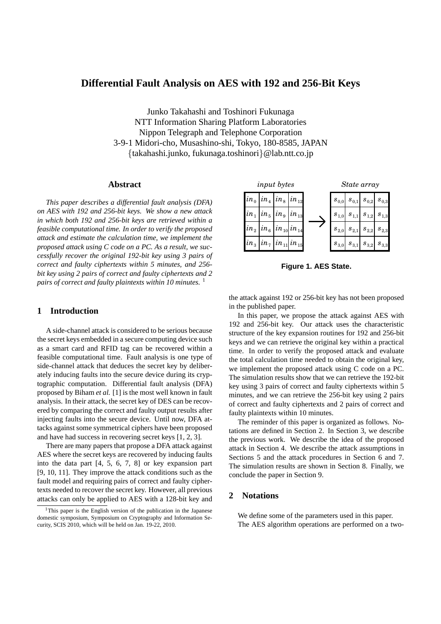# **Differential Fault Analysis on AES with 192 and 256-Bit Keys**

Junko Takahashi and Toshinori Fukunaga NTT Information Sharing Platform Laboratories Nippon Telegraph and Telephone Corporation 3-9-1 Midori-cho, Musashino-shi, Tokyo, 180-8585, JAPAN *{*takahashi.junko, fukunaga.toshinori*}*@lab.ntt.co.jp

#### **Abstract**

*This paper describes a differential fault analysis (DFA) on AES with 192 and 256-bit keys. We show a new attack in which both 192 and 256-bit keys are retrieved within a feasible computational time. In order to verify the proposed attack and estimate the calculation time, we implement the proposed attack using C code on a PC. As a result, we successfully recover the original 192-bit key using 3 pairs of correct and faulty ciphertexts within 5 minutes, and 256 bit key using 2 pairs of correct and faulty ciphertexts and 2 pairs of correct and faulty plaintexts within 10 minutes.* <sup>1</sup>

#### **1 Introduction**

A side-channel attack is considered to be serious because the secret keys embedded in a secure computing device such as a smart card and RFID tag can be recovered within a feasible computational time. Fault analysis is one type of side-channel attack that deduces the secret key by deliberately inducing faults into the secure device during its cryptographic computation. Differential fault analysis (DFA) proposed by Biham *et al.* [1] is the most well known in fault analysis. In their attack, the secret key of DES can be recovered by comparing the correct and faulty output results after injecting faults into the secure device. Until now, DFA attacks against some symmetrical ciphers have been proposed and have had success in recovering secret keys [1, 2, 3].

There are many papers that propose a DFA attack against AES where the secret keys are recovered by inducing faults into the data part [4, 5, 6, 7, 8] or key expansion part [9, 10, 11]. They improve the attack conditions such as the fault model and requiring pairs of correct and faulty ciphertexts needed to recover the secret key. However, all previous attacks can only be applied to AES with a 128-bit key and



**Figure 1. AES State.**

the attack against 192 or 256-bit key has not been proposed in the published paper.

In this paper, we propose the attack against AES with 192 and 256-bit key. Our attack uses the characteristic structure of the key expansion routines for 192 and 256-bit keys and we can retrieve the original key within a practical time. In order to verify the proposed attack and evaluate the total calculation time needed to obtain the original key, we implement the proposed attack using C code on a PC. The simulation results show that we can retrieve the 192-bit key using 3 pairs of correct and faulty ciphertexts within 5 minutes, and we can retrieve the 256-bit key using 2 pairs of correct and faulty ciphertexts and 2 pairs of correct and faulty plaintexts within 10 minutes.

The reminder of this paper is organized as follows. Notations are defined in Section 2. In Section 3, we describe the previous work. We describe the idea of the proposed attack in Section 4. We describe the attack assumptions in Sections 5 and the attack procedures in Section 6 and 7. The simulation results are shown in Section 8. Finally, we conclude the paper in Section 9.

#### **2 Notations**

We define some of the parameters used in this paper. The AES algorithm operations are performed on a two-

<sup>&</sup>lt;sup>1</sup>This paper is the English version of the publication in the Japanese domestic symposium, Symposium on Cryptography and Information Security, SCIS 2010, which will be held on Jan. 19-22, 2010.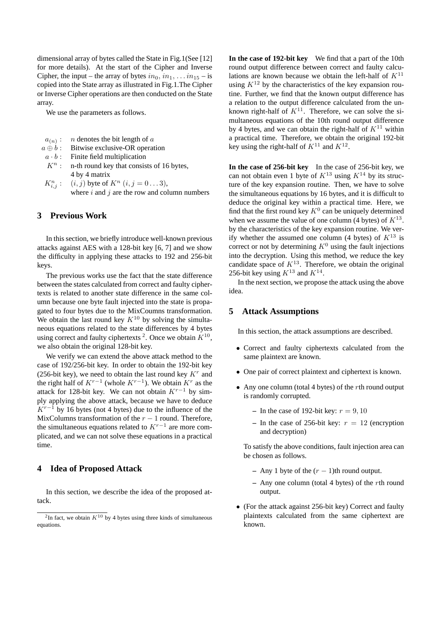dimensional array of bytes called the State in Fig.1(See [12] for more details). At the start of the Cipher and Inverse Cipher, the input – the array of bytes  $in_0$ ,  $in_1$ ,  $\dots$   $in_{15}$  – is copied into the State array as illustrated in Fig.1.The Cipher or Inverse Cipher operations are then conducted on the State array.

We use the parameters as follows.

| $a_{(n)}:$ <i>n</i> denotes the bit length of a    |
|----------------------------------------------------|
| $a \oplus b$ : Bitwise exclusive-OR operation      |
| $a \cdot b$ : Finite field multiplication          |
| $K^n$ : n-th round key that consists of 16 bytes,  |
| 4 by 4 matrix                                      |
| $K_{i,j}^n$ : $(i,j)$ byte of $K^n$ $(i,j = 03)$ , |

where *i* and *j* are the row and column numbers

# **3 Previous Work**

In this section, we briefly introduce well-known previous attacks against AES with a 128-bit key [6, 7] and we show the difficulty in applying these attacks to 192 and 256-bit keys.

The previous works use the fact that the state difference between the states calculated from correct and faulty ciphertexts is related to another state difference in the same column because one byte fault injected into the state is propagated to four bytes due to the MixCoumns transformation. We obtain the last round key  $K^{10}$  by solving the simultaneous equations related to the state differences by 4 bytes using correct and faulty ciphertexts  $2$ . Once we obtain  $K^{10}$ , we also obtain the original 128-bit key.

We verify we can extend the above attack method to the case of 192/256-bit key. In order to obtain the 192-bit key (256-bit key), we need to obtain the last round key  $K<sup>r</sup>$  and the right half of  $K^{r-1}$  (whole  $K^{r-1}$ ). We obtain  $K^r$  as the attack for 128-bit key. We can not obtain  $K^{r-1}$  by simply applying the above attack, because we have to deduce *K*<sup>*r*−1</sup> by 16 bytes (not 4 bytes) due to the influence of the MixColumns transformation of the *r −* 1 round. Therefore, the simultaneous equations related to *K<sup>r</sup>−*<sup>1</sup> are more complicated, and we can not solve these equations in a practical time.

### **4 Idea of Proposed Attack**

In this section, we describe the idea of the proposed attack.

**In the case of 192-bit key** We find that a part of the 10th round output difference between correct and faulty calculations are known because we obtain the left-half of *K*<sup>11</sup> using  $K^{12}$  by the characteristics of the key expansion routine. Further, we find that the known output difference has a relation to the output difference calculated from the unknown right-half of  $K^{11}$ . Therefore, we can solve the simultaneous equations of the 10th round output difference by 4 bytes, and we can obtain the right-half of  $K^{11}$  within a practical time. Therefore, we obtain the original 192-bit key using the right-half of  $K^{11}$  and  $K^{12}$ .

**In the case of 256-bit key** In the case of 256-bit key, we can not obtain even 1 byte of  $K^{13}$  using  $K^{14}$  by its structure of the key expansion routine. Then, we have to solve the simultaneous equations by 16 bytes, and it is difficult to deduce the original key within a practical time. Here, we find that the first round key  $K^0$  can be uniquely determined when we assume the value of one column  $(4 \text{ bytes})$  of  $K^{13}$ . by the characteristics of the key expansion routine. We verify whether the assumed one column (4 bytes) of  $K^{13}$  is correct or not by determining  $K^0$  using the fault injections into the decryption. Using this method, we reduce the key candidate space of  $K^{13}$ . Therefore, we obtain the original 256-bit key using  $K^{13}$  and  $K^{14}$ .

In the next section, we propose the attack using the above idea.

#### **5 Attack Assumptions**

In this section, the attack assumptions are described.

- *•* Correct and faulty ciphertexts calculated from the same plaintext are known.
- *•* One pair of correct plaintext and ciphertext is known.
- *•* Any one column (total 4 bytes) of the *r*th round output is randomly corrupted.
	- $-$  In the case of 192-bit key:  $r = 9, 10$
	- In the case of 256-bit key:  $r = 12$  (encryption and decryption)

To satisfy the above conditions, fault injection area can be chosen as follows.

- **–** Any 1 byte of the (*r −* 1)th round output.
- **–** Any one column (total 4 bytes) of the *r*th round output.
- *•* (For the attack against 256-bit key) Correct and faulty plaintexts calculated from the same ciphertext are known.

 $2$ In fact, we obtain  $K^{10}$  by 4 bytes using three kinds of simultaneous equations.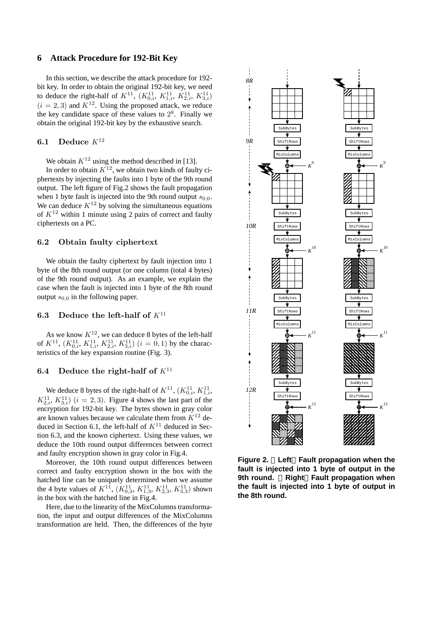#### **6 Attack Procedure for 192-Bit Key**

In this section, we describe the attack procedure for 192 bit key. In order to obtain the original 192-bit key, we need to deduce the right-half of  $K^{11}$ ,  $(K_{0,i}^{11}, K_{1,i}^{11}, K_{2,i}^{11}, K_{3,i}^{11})$  $(i = 2, 3)$  and  $K^{12}$ . Using the proposed attack, we reduce the key candidate space of these values to  $2<sup>8</sup>$ . Finally we obtain the original 192-bit key by the exhaustive search.

# **6.1 Deduce** *K*<sup>12</sup>

We obtain  $K^{12}$  using the method described in [13].

In order to obtain  $K^{12}$ , we obtain two kinds of faulty ciphertexts by injecting the faults into 1 byte of the 9th round output. The left figure of Fig.2 shows the fault propagation when 1 byte fault is injected into the 9th round output  $s_{0,0}$ . We can deduce  $K^{12}$  by solving the simultaneous equations of  $K^{12}$  within 1 minute using 2 pairs of correct and faulty ciphertexts on a PC.

### **6.2 Obtain faulty ciphertext**

We obtain the faulty ciphertext by fault injection into 1 byte of the 8th round output (or one column (total 4 bytes) of the 9th round output). As an example, we explain the case when the fault is injected into 1 byte of the 8th round output  $s_{0,0}$  in the following paper.

#### **6.3 Deduce the left-half of** *K*<sup>11</sup>

As we know  $K^{12}$ , we can deduce 8 bytes of the left-half of  $K^{11}$ ,  $(K_{0,i}^{11}, K_{1,i}^{11}, K_{2,i}^{11}, K_{3,i}^{11})$   $(i = 0, 1)$  by the characteristics of the key expansion routine (Fig. 3).

#### **6.4** Deduce the right-half of  $K^{11}$

We deduce 8 bytes of the right-half of  $K^{11}$ ,  $(K_{0,i}^{11}, K_{1,i}^{11})$  $K_{2,i}^{11}, K_{3,i}^{11}$  (*i* = 2, 3). Figure 4 shows the last part of the encryption for 192-bit key. The bytes shown in gray color are known values because we calculate them from  $K^{12}$  deduced in Section 6.1, the left-half of  $K^{11}$  deduced in Section 6.3, and the known ciphertext. Using these values, we deduce the 10th round output differences between correct and faulty encryption shown in gray color in Fig.4.

Moreover, the 10th round output differences between correct and faulty encryption shown in the box with the hatched line can be uniquely determined when we assume the 4 byte values of  $K^{11}$ ,  $(K_{0,3}^{11}, K_{1,3}^{11}, K_{2,3}^{11}, K_{3,3}^{11})$  shown in the box with the hatched line in Fig.4.

Here, due to the linearity of the MixColumns transformation, the input and output differences of the MixColumns transformation are held. Then, the differences of the byte



**Figure 2. Left Fault propagation when the fault is injected into 1 byte of output in the 9th round. Right Fault propagation when the fault is injected into 1 byte of output in the 8th round.**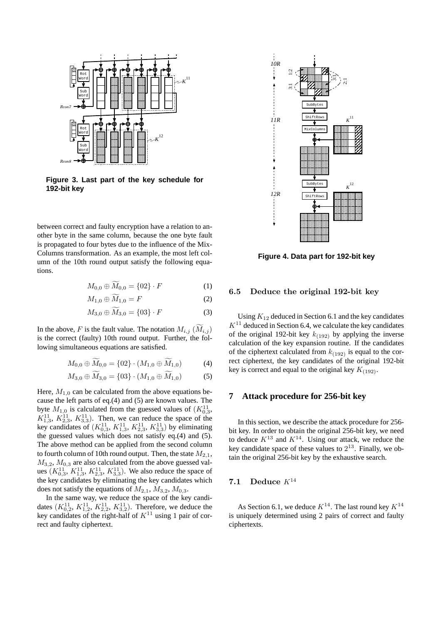

**Figure 3. Last part of the key schedule for 192-bit key**

between correct and faulty encryption have a relation to another byte in the same column, because the one byte fault is propagated to four bytes due to the influence of the Mix-Columns transformation. As an example, the most left column of the 10th round output satisfy the following equations.

$$
M_{0,0} \oplus M_{0,0} = \{02\} \cdot F \tag{1}
$$

$$
M_{1,0} \oplus \widetilde{M}_{1,0} = F \tag{2}
$$

$$
M_{3,0} \oplus \widetilde{M}_{3,0} = \{03\} \cdot F \tag{3}
$$

In the above, *F* is the fault value. The notation  $M_{i,j}$  ( $\widetilde{M}_{i,j}$ ) is the correct (faulty) 10th round output. Further, the following simultaneous equations are satisfied.

$$
M_{0,0} \oplus \widetilde{M}_{0,0} = \{02\} \cdot (M_{1,0} \oplus \widetilde{M}_{1,0}) \tag{4}
$$

$$
M_{3,0} \oplus M_{3,0} = \{03\} \cdot (M_{1,0} \oplus M_{1,0}) \tag{5}
$$

Here,  $M_{1,0}$  can be calculated from the above equations because the left parts of eq.(4) and (5) are known values. The byte  $M_{1,0}$  is calculated from the guessed values of  $(K_{0,3}^{11},$  $K_{1,3}^{11}$ ,  $K_{2,3}^{11}$ ,  $K_{3,3}^{11}$ ). Then, we can reduce the space of the key candidates of  $(K_{0,3}^{11}, K_{1,3}^{11}, K_{2,3}^{11}, K_{3,3}^{11})$  by eliminating the guessed values which does not satisfy eq.(4) and (5). The above method can be applied from the second column to fourth column of 10th round output. Then, the state  $M_{2,1}$ ,  $M_{3,2}$ ,  $M_{0,3}$  are also calculated from the above guessed values  $(K_{0,3}^{11}, K_{1,3}^{11}, K_{2,3}^{11}, K_{3,3}^{11})$ . We also reduce the space of the key candidates by eliminating the key candidates which does not satisfy the equations of  $M_{2,1}$ ,  $M_{3,2}$ ,  $M_{0,3}$ .

In the same way, we reduce the space of the key candidates  $(K_{0,2}^{11}, K_{1,2}^{11}, K_{2,2}^{11}, K_{3,2}^{11})$ . Therefore, we deduce the key candidates of the right-half of  $K<sup>11</sup>$  using 1 pair of correct and faulty ciphertext.



**Figure 4. Data part for 192-bit key**

#### **6.5 Deduce the original 192-bit key**

Using *K*<sup>12</sup> deduced in Section 6.1 and the key candidates  $K<sup>11</sup>$  deduced in Section 6.4, we calculate the key candidates of the original 192-bit key  $k_{(192)}$  by applying the inverse calculation of the key expansion routine. If the candidates of the ciphertext calculated from  $k_{(192)}$  is equal to the correct ciphertext, the key candidates of the original 192-bit key is correct and equal to the original key  $K_{(192)}$ .

#### **7 Attack procedure for 256-bit key**

In this section, we describe the attack procedure for 256 bit key. In order to obtain the original 256-bit key, we need to deduce  $K^{13}$  and  $K^{14}$ . Using our attack, we reduce the key candidate space of these values to  $2^{13}$ . Finally, we obtain the original 256-bit key by the exhaustive search.

### **7.1 Deduce** *K*<sup>14</sup>

As Section 6.1, we deduce  $K^{14}$ . The last round key  $K^{14}$ is uniquely determined using 2 pairs of correct and faulty ciphertexts.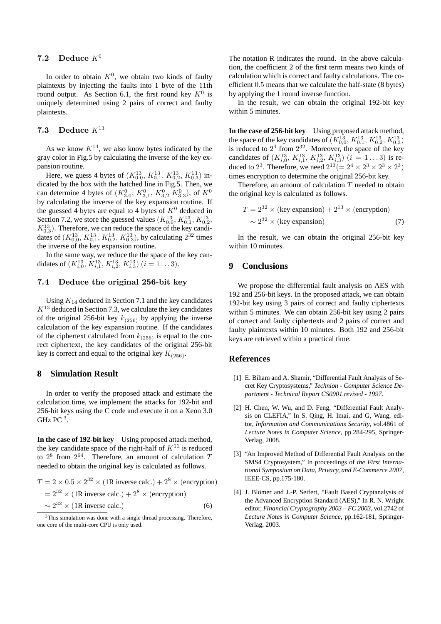# **7.2** Deduce  $K^0$

In order to obtain  $K^0$ , we obtain two kinds of faulty plaintexts by injecting the faults into 1 byte of the 11th round output. As Section 6.1, the first round key  $K^0$  is uniquely determined using 2 pairs of correct and faulty plaintexts.

# **7.3 Deduce** *K*<sup>13</sup>

As we know  $K^{14}$ , we also know bytes indicated by the gray color in Fig.5 by calculating the inverse of the key expansion routine.

Here, we guess 4 bytes of  $(K_{0,0}^{13}, K_{0,1}^{13}, K_{0,2}^{13}, K_{0,3}^{13})$  indicated by the box with the hatched line in Fig.5. Then, we can determine 4 bytes of  $(K_{3,0}^0, K_{3,1}^0, K_{3,2}^0, K_{3,3}^0)$ , of  $K^0$ by calculating the inverse of the key expansion routine. If the guessed 4 bytes are equal to 4 bytes of  $K^0$  deduced in Section 7.2, we store the guessed values  $(K_{0,0}^{13}, K_{0,1}^{13}, K_{0,2}^{13})$  $K_{0,3}^{13}$ ). Therefore, we can reduce the space of the key candidates of  $(K_{0,0}^{13}, K_{0,1}^{13}, K_{0,2}^{13}, K_{0,3}^{13})$ , by calculating  $2^{32}$  times the inverse of the key expansion routine.

In the same way, we reduce the the space of the key candidates of  $(K_{i,0}^{13}, K_{i,1}^{13}, K_{i,2}^{13}, K_{i,3}^{13})$   $(i = 1...3)$ .

## **7.4 Deduce the original 256-bit key**

Using  $K_{14}$  deduced in Section 7.1 and the key candidates *K*<sup>13</sup> deduced in Section 7.3, we calculate the key candidates of the original 256-bit key  $k_{(256)}$  by applying the inverse calculation of the key expansion routine. If the candidates of the ciphertext calculated from  $k_{(256)}$  is equal to the correct ciphertext, the key candidates of the original 256-bit key is correct and equal to the original key  $K_{(256)}$ .

#### **8 Simulation Result**

In order to verify the proposed attack and estimate the calculation time, we implement the attacks for 192-bit and 256-bit keys using the C code and execute it on a Xeon 3.0 GHz PC  $^3$ .

**In the case of 192-bit key** Using proposed attack method, the key candidate space of the right-half of  $K^{11}$  is reduced to 2 8 from 2 <sup>64</sup>. Therefore, an amount of calculation *T* needed to obtain the original key is calculated as follows.

$$
T = 2 \times 0.5 \times 2^{32} \times (1 \text{R inverse calc.}) + 2^8 \times (\text{encryption})
$$
  
= 2<sup>32</sup> × (1 \text{R inverse calc.}) + 2<sup>8</sup> × (encryption)  
~ 2<sup>32</sup> × (1 \text{R inverse calc.}) (6)

 $3$ This simulation was done with a single thread processing. Therefore, one core of the multi-core CPU is only used.

The notation R indicates the round. In the above calculation, the coefficient 2 of the first term means two kinds of calculation which is correct and faulty calculations. The coefficient 0*.*5 means that we calculate the half-state (8 bytes) by applying the 1 round inverse function.

In the result, we can obtain the original 192-bit key within 5 minutes.

**In the case of 256-bit key** Using proposed attack method, the space of the key candidates of  $(K_{0,0}^{13}, K_{0,1}^{13}, K_{0,2}^{13}, K_{0,3}^{13})$ is reduced to  $2^4$  from  $2^{32}$ . Moreover, the space of the key candidates of  $(K_{i,0}^{13}, K_{i,1}^{13}, K_{i,2}^{13}, K_{i,3}^{13})$   $(i = 1...3)$  is reduced to 2<sup>3</sup>. Therefore, we need  $2^{13} (= 2^4 \times 2^3 \times 2^3 \times 2^3)$ times encryption to determine the original 256-bit key.

Therefore, an amount of calculation *T* needed to obtain the original key is calculated as follows.

$$
T = 2^{32} \times (\text{key expansion}) + 2^{13} \times (\text{encryption})
$$
  
 
$$
\sim 2^{32} \times (\text{key expansion})
$$
 (7)

In the result, we can obtain the original 256-bit key within 10 minutes.

#### **9 Conclusions**

We propose the differential fault analysis on AES with 192 and 256-bit keys. In the proposed attack, we can obtain 192-bit key using 3 pairs of correct and faulty ciphertexts within 5 minutes. We can obtain 256-bit key using 2 pairs of correct and faulty ciphertexts and 2 pairs of correct and faulty plaintexts within 10 minutes. Both 192 and 256-bit keys are retrieved within a practical time.

#### **References**

- [1] E. Biham and A. Shamir, "Differential Fault Analysis of Secret Key Cryptosystems," *Technion - Computer Science Department - Technical Report CS0901.revised - 1997*.
- [2] H. Chen, W. Wu, and D. Feng, "Differential Fault Analysis on CLEFIA," In S. Qing, H. Imai, and G, Wang, editor, *Information and Communications Security*, vol.4861 of *Lecture Notes in Computer Science*, pp.284-295, Springer-Verlag, 2008.
- [3] "An Improved Method of Differential Fault Analysis on the SMS4 Cryptosystem," In proceedings of *the First International Symposium on Data, Privacy, and E-Commerce 2007*, IEEE-CS, pp.175-180.
- [4] J. Blömer and J.-P. Seifert, "Fault Based Cryptanalysis of the Advanced Encryption Standard (AES)," In R. N. Wright editor, *Financial Cryptography 2003 – FC 2003*, vol.2742 of *Lecture Notes in Computer Science*, pp.162-181, Springer-Verlag, 2003.